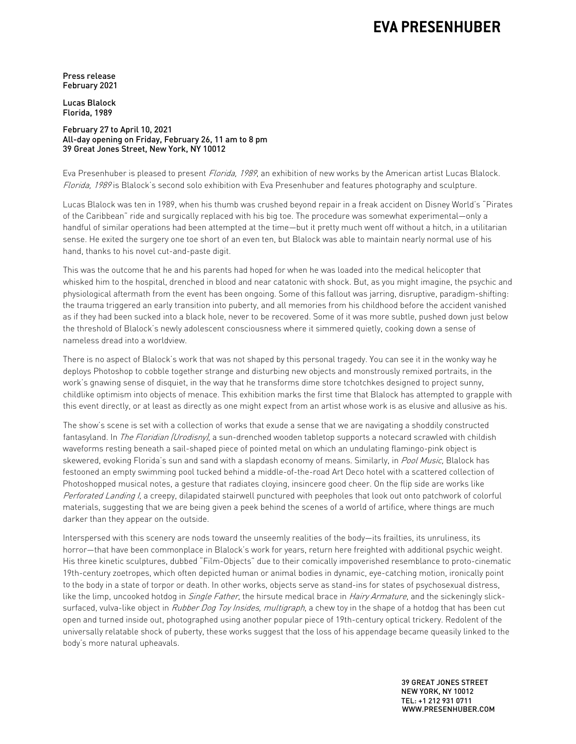## **EVA PRESENHUBER**

Press release February 2021

Lucas Blalock Florida, 1989

February 27 to April 10, 2021 All-day opening on Friday, February 26, 11 am to 8 pm 39 Great Jones Street, New York, NY 10012

Eva Presenhuber is pleased to present *Florida, 1989*, an exhibition of new works by the American artist Lucas Blalock. Florida, 1989 is Blalock's second solo exhibition with Eva Presenhuber and features photography and sculpture.

Lucas Blalock was ten in 1989, when his thumb was crushed beyond repair in a freak accident on Disney World's "Pirates of the Caribbean" ride and surgically replaced with his big toe. The procedure was somewhat experimental—only a handful of similar operations had been attempted at the time—but it pretty much went off without a hitch, in a utilitarian sense. He exited the surgery one toe short of an even ten, but Blalock was able to maintain nearly normal use of his hand, thanks to his novel cut-and-paste digit.

This was the outcome that he and his parents had hoped for when he was loaded into the medical helicopter that whisked him to the hospital, drenched in blood and near catatonic with shock. But, as you might imagine, the psychic and physiological aftermath from the event has been ongoing. Some of this fallout was jarring, disruptive, paradigm-shifting: the trauma triggered an early transition into puberty, and all memories from his childhood before the accident vanished as if they had been sucked into a black hole, never to be recovered. Some of it was more subtle, pushed down just below the threshold of Blalock's newly adolescent consciousness where it simmered quietly, cooking down a sense of nameless dread into a worldview.

There is no aspect of Blalock's work that was not shaped by this personal tragedy. You can see it in the wonky way he deploys Photoshop to cobble together strange and disturbing new objects and monstrously remixed portraits, in the work's gnawing sense of disquiet, in the way that he transforms dime store tchotchkes designed to project sunny, childlike optimism into objects of menace. This exhibition marks the first time that Blalock has attempted to grapple with this event directly, or at least as directly as one might expect from an artist whose work is as elusive and allusive as his.

The show's scene is set with a collection of works that exude a sense that we are navigating a shoddily constructed fantasyland. In *The Floridian (Urodisny)*, a sun-drenched wooden tabletop supports a notecard scrawled with childish waveforms resting beneath a sail-shaped piece of pointed metal on which an undulating flamingo-pink object is skewered, evoking Florida's sun and sand with a slapdash economy of means. Similarly, in *Pool Music,* Blalock has festooned an empty swimming pool tucked behind a middle-of-the-road Art Deco hotel with a scattered collection of Photoshopped musical notes, a gesture that radiates cloying, insincere good cheer. On the flip side are works like Perforated Landing I, a creepy, dilapidated stairwell punctured with peepholes that look out onto patchwork of colorful materials, suggesting that we are being given a peek behind the scenes of a world of artifice, where things are much darker than they appear on the outside.

Interspersed with this scenery are nods toward the unseemly realities of the body—its frailties, its unruliness, its horror—that have been commonplace in Blalock's work for years, return here freighted with additional psychic weight. His three kinetic sculptures, dubbed "Film-Objects" due to their comically impoverished resemblance to proto-cinematic 19th-century zoetropes, which often depicted human or animal bodies in dynamic, eye-catching motion, ironically point to the body in a state of torpor or death. In other works, objects serve as stand-ins for states of psychosexual distress, like the limp, uncooked hotdog in *Single Father*, the hirsute medical brace in *Hairy Armature*, and the sickeningly slicksurfaced, vulva-like object in Rubber Dog Toy Insides, multigraph, a chew toy in the shape of a hotdog that has been cut open and turned inside out, photographed using another popular piece of 19th-century optical trickery. Redolent of the universally relatable shock of puberty, these works suggest that the loss of his appendage became queasily linked to the body's more natural upheavals.

> 39 GREAT JONES STREET NEW YORK, NY 10012 TEL: +1 212 931 0711 WWW.PRESENHUBER.COM